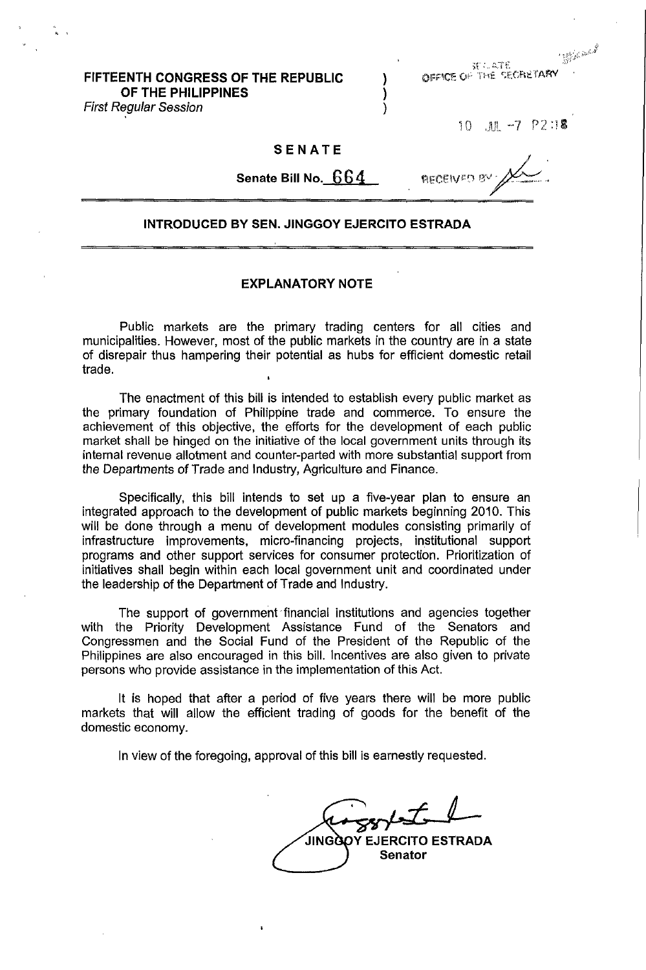SE 1. ATE OFFICE OF THE SECRETARY

) ) )

# **FIFTEENTH CONGRESS OF THE REPUBLIC OF THE PHILIPPINES**

First Regular Session

, '

JUL -7 P2:18  $10$ 

SEALE AND

## **SENATE**

**Senate Bill No.** G G 4

AFCENCO B

## **INTRODUCED BY SEN. JINGGOY EJERCITO ESTRADA**

## **EXPLANATORY NOTE**

Public markets are the primary trading centers for all cities and municipalities. However, most of the public markets in the country are in a state of disrepair thus hampering their potential as hubs for efficient domestic retail trade.

The enactment of this bill is intended to establish every public market as the primary foundation of Philippine trade and commerce. To ensure the achievement of this objective, the efforts for the development of each public market shall be hinged on the initiative of the local government units through its internal revenue allotment and counter-parted with more substantial support from the Departments of Trade and Industry, Agriculture and Finance.

Specifically, this bill intends to set up a five-year plan to ensure an integrated approach to the development of public markets beginning 2010. This will be done through a menu of development modules consisting primarily of infrastructure improvements, micro-financing projects, institutional support programs and other support services for consumer protection. Prioritization of initiatives shall begin within each local government unit and coordinated under the leadership of the Department of Trade and Industry.

The support of government financial institutions and agencies together with the Priority Development Assistance Fund of the Senators and Congressmen and the Social Fund of the President of the Republic of the Philippines are also encouraged in this bill. Incentives are also given to private persons who provide assistance in the implementation of this Act.

It is hoped that after a period of five years there will be more public markets that will allow the efficient trading of goods for the benefit of the domestic economy.

In view of the foregoing, approval of this bill is earnestly requested.

Y EJERCITO ESTRADA JINGÀ **Senator**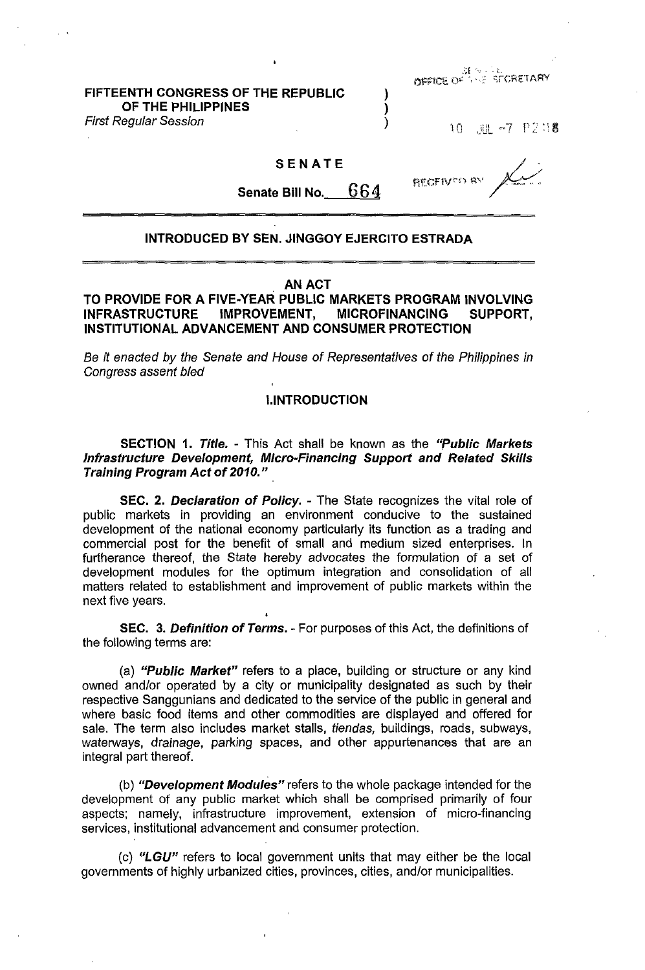# FIFTEENTH CONGRESS OF THE REPUBLIC ) OF THE PHILIPPINES

First Regular Session (1999)

**OFFICE OF SERVISTICRETARY** 

10 JUL -7 P2:18

## SENATE

**RECEIVED** 

Senate Bill No.  $664$ 

### INTRODUCED BY SEN. JINGGOY EJERCITO ESTRADA

#### AN ACT

TO PROVIDE FOR A FIVE-YEAR PUBLIC MARKETS PROGRAM INVOLVING INFRASTRUCTURE IMPROVEMENT, MICROFINANCING SUPPORT, INSTITUTIONAL ADVANCEMENT AND CONSUMER PROTECTION

Be it enacted by the Senate and House of Representatives of the Philippines in Congress assent bled

## I.INTRODUCTION

**SECTION 1. Title. - This Act shall be known as the "Public Markets"** Infrastructure Development, Micro-Financing Support and Related Skills Training Program Act of 2010."

SEC. 2. Declaration of Policy. - The State recognizes the vital role of public markets in providing an environment conducive to the sustained development of the national economy particularly its function as a trading and commercial post for the benefit of small and medium sized enterprises. In furtherance thereof, the State hereby advocates the formulation of a set of development modules for the optimum integration and consolidation of all matters related to establishment and improvement of public markets within the next five years.

SEC. 3. Definition of Terms. - For purposes of this Act, the definitions of the following terms are:

(a) "Public Market" refers to a place, building or structure or any kind owned and/or operated by a city or municipality designated as such by their respective Sanggunians and dedicated to the service of the public in general and where basic food items and other commodities are displayed and offered for sale. The term also includes market stalls, tiendas, buildings, roads, subways, waterways, drainage, parking spaces, and other appurtenances that are an integral part thereof.

(b) "Development Modules" refers to the whole package intended for the development of any public market which shall be comprised primarily of four aspects; namely, infrastructure improvement, extension of micro-financing services, institutional advancement and consumer protection.

(c) *"LGU"* refers to local government units that may either be the local governments of highly urbanized cities, provinces, cities, and/or municipalities.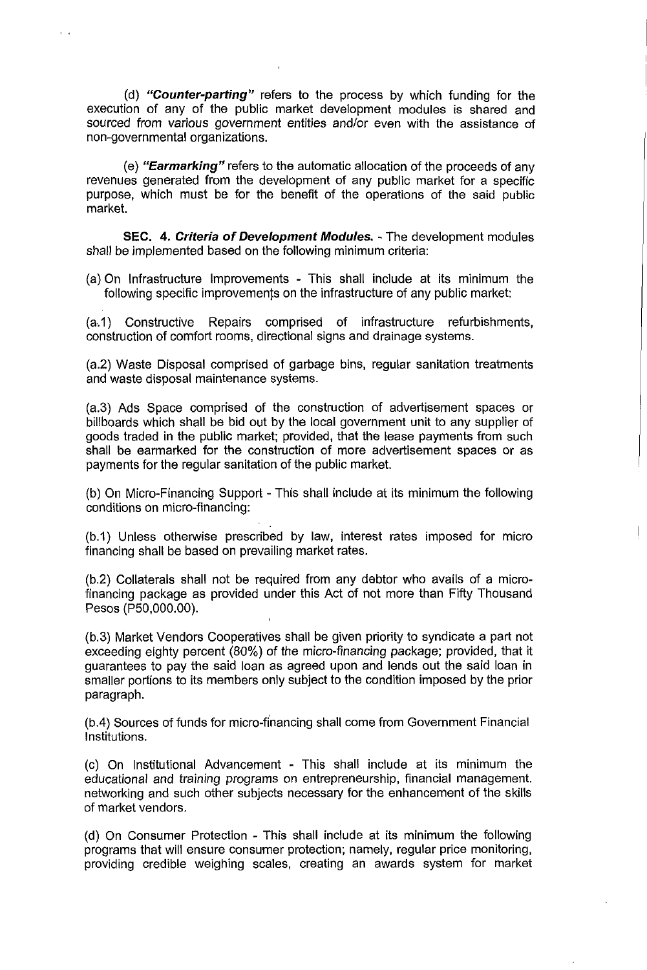(d) **"Counter-parting"** refers to the process by which funding for the execution of any of the public market development modules is shared and sourced from various government entities and/or even with the assistance of non-governmental organizations.

(e) **"Earmarking"** refers to the automatic allocation of the proceeds of any revenues generated from the development of any public market for a specific purpose, which must be for the benefit of the operations of the said public market.

**SEC. 4. Criteria of Development Modules.** - The development modules shall be implemented based on the following minimum criteria:

(a) On Infrastructure Improvements - This shall include at its minimum the following specific improvements on the infrastructure of any public market:

(8.1) Constructive Repairs comprised of infrastructure refurbishments, construction of comfort rooms, directional signs and drainage systems.

(a.2) Waste Disposal comprised of garbage bins, regular sanitation treatments and waste disposal maintenance systems.

(a.3) Ads Space comprised of the construction of advertisement spaces or billboards which shall be bid out by the local government unit to any supplier of goods traded in the public market; provided, that the lease payments from such shall be earmarked for the construction of more advertisement spaces or as payments for the regular sanitation of the public market.

(b) On Micro-Financing Support - This shall include at its minimum the following conditions on micro-financing:

(b.1) Unless otherwise prescribed by law, interest rates imposed for micro financing shall be based on prevailing market rates.

(b.2) Collaterals shall not be required from any debtor who avails of a microfinancing package as provided under this Act of not more than Fifty Thousand Pesos (P50,000.00).

(b.3) Market Vendors Cooperatives shall be given priority to syndicate a part not exceeding eighty percent (80%) of the micro-financing package; provided, that it guarantees to pay the said loan as agreed upon and lends out the said loan in smaller portions to its members only subject to the condition imposed by the prior paragraph.

(b.4) Sources of funds for micro-financing shall come from Government Financial Institutions.

(c) On Institutional Advancement - This shall include at its minimum the educational and training programs on entrepreneurship, financial management. networking and such other subjects necessary for the enhancement of the skills of market vendors.

(d) On Consumer Protection - This shall include at its minimum the following programs that will ensure consumer protection; namely, regular price monitoring, providing credible weighing scales, creating an awards system for market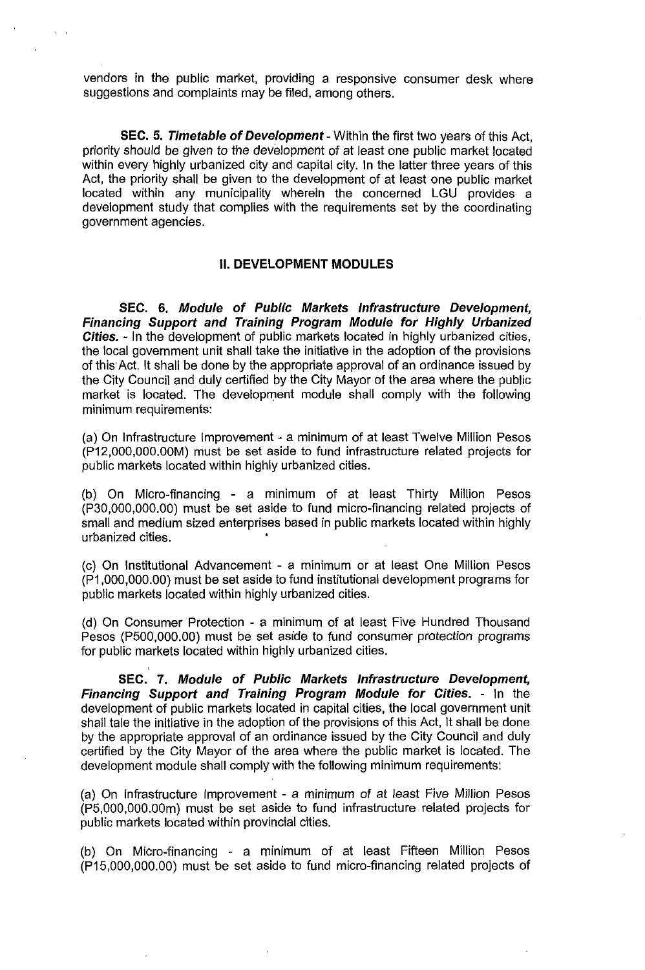vendors in the public market, providing a responsive consumer desk where suggestions and complaints may be filed, among others.

SEC. 5. Timetable of Development - Within the first two years of this Act, priority should be given to the development of at least one public market located within every highly urbanized city and capital city. In the latter three years of this Act, the priority shall be given to the development of at least one public market located within any municipality wherein the concerned LGU provides a development study that complies with the requirements set by the coordinating government agencies.

## II. **DEVELOPMENT MODULES**

SEC. 6. Module of Public Markets Infrastructure Development, Financing Support and Training Program Module for Highly Urbanized Cities. - In the development of public markets located in highly urbanized cities, the local government unit shall take the initiative in the adoption of the provisions of this Act. It shall be done by the appropriate approval of an ordinance issued by the City Council and duly certified by the City Mayor of the area where the public market is located. The development module shall comply with the following minimum requirements:

(a) On Infrastructure Improvement - a minimum of at least Twelve Million Pesos (P12,000,000.00M) must be set aside to fund infrastructure related projects for public markets located within highly urbanized cities.

(b) On Micro-financing - a minimum of at least Thirty Million Pesos (P30,000,000.00) must be set aside to fund micro-financing related projects of small and medium sized enterprises based in public markets located within highly urbanized cities. •

(c) On Institutional Advancement - a minimum or at least One Million Pesos (P1 ,000,000.00) must be set aside to fund institutional development programs for public markets located within highly urbanized cities.

(d) On Consumer Protection - a minimum of at least Five Hundred Thousand Pesos (P500,000.OO) must be set aside to fund consumer protection programs for public markets located within highly urbanized cities.

SEC. 7. Module of Public Markets Infrastructure Development, Financing Support and Training Program Module for Cities. - In the development of public markets located in capital cities, the local government unit shall tale the initiative in the adoption of the provisions of this Act, It shall be done by the appropriate approval of an ordinance issued by the City Council and duly certified by the City Mayor of the area where the public market is located. The development module shall comply with the following minimum requirements:

(a) On Infrastructure Improvement - a minimum of at least Five Million Pesos (P5,OOO,OOO.OOm) must be set aside to fund infrastructure related projects for public markets located within provincial cities.

(b) On Micro-financing - a minimum of at least Fifteen Million Pesos (P15,OOO,OOO.OO) must be set aside to fund micro-financing related projects of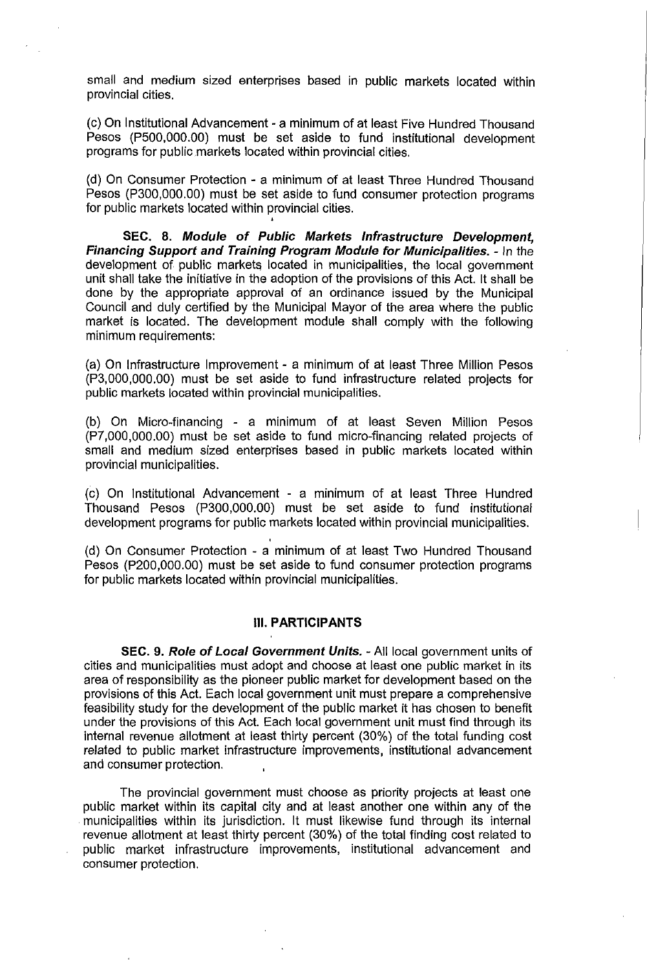small and medium sized enterprises based in public markets located within provincial cities.

(c) On Institutional Advancement - a minimum of at least Five Hundred Thousand Pesos (P500,000.00) must be set aside to fund institutional development programs for public markets located within provincial cities.

(d) On Consumer Protection - a minimum of at least Three Hundred Thousand Pesos (P300,000.00) must be set aside to fund consumer protection programs for public markets located within provincial cities.

**SEC. 8. Module of Public Markets Infrastructure Development, Financing Support and Training Program Module for Municipalities.** - In the development of. public markets located in municipalities, the local government unit shall take the initiative in the adoption of the provisions of this Act. It shall be done by the appropriate approval of an ordinance issued by the Municipal Council and duly certified by the Municipal Mayor of the area where the public market is located. The development module shall comply with the following minimum requirements:

(a) On Infrastructure Improvement - a minimum of at least Three Million Pesos (P3,000,000.00) must be set aside to fund infrastructure related projects for public markets located within provincial municipalities.

(b) On Micro-financing - a minimum of at least Seven Million Pesos (P7,000,000.00) must be set aside to fund micro-financing related projects of small and medium sized enterprises based in public markets located within provincial municipalities.

(c) On Institutional Advancement - a minimum of at least Three Hundred Thousand Pesos (P300,000.00) must be set aside to fund institutional development programs for public markets located within provincial municipalities.

(d) On Consumer Protection - a minimum of at least Two Hundred Thousand Pesos (P200,000.00) must be set aside to fund consumer protection programs for public markets located within provincial municipalities.

## **III. PARTICIPANTS**

**SEC. 9. Role of Local Government Units.** - All local government units of cities and municipalities must adopt and choose at least one public market in its area of responsibility as the pioneer public market for development based on the provisions of this Act. Each local government unit must prepare a comprehensive feasibility study for the development of the public market it has chosen to benefit under the provisions of this Act. Each local government unit must find through its internal revenue allotment at least thirty percent (30%) of the total funding cost related to public market infrastructure improvements, institutional advancement and consumer protection.

The provincial government must choose as priority projects at least one public market within its capital city and at least another one within any of the . municipalities within its jurisdiction. It must likewise fund through its internal revenue allotment at least thirty percent (30%) of the total finding cost related to public market infrastructure improvements, institutional advancement and consumer protection.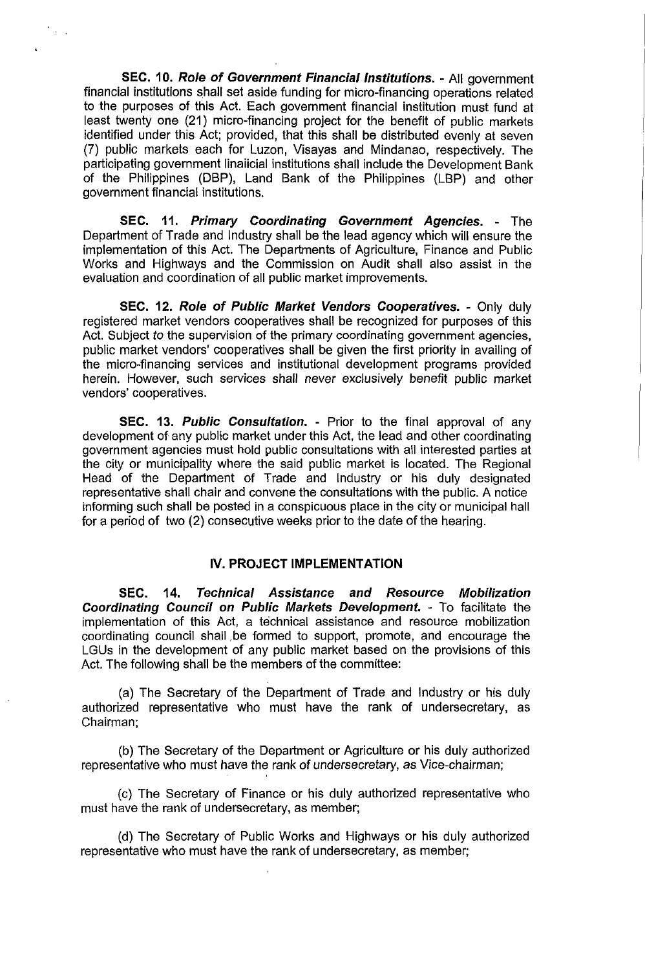**SEC. 10. Role of Government Financial Institutions.** - All government financial institutions shall set aside funding for micro-financing operations related to the purposes of this Act. Each government financial institution must fund at least twenty one (21) micro-financing project for the benefit of public markets identified under this Act; provided, that this shall be distributed evenly at seven (7) public markets each for Luzon, Visayas and Mindanao, respectively. The participating government linaiicial institutions shall include the Development Bank of the Philippines (DBP), Land Bank of the Philippines (LBP) and other government financial institutions.

**SEC. 11. Primary Coordinating Government Agencies.** - The Department of Trade and Industry shall be the lead agency which will ensure the implementation of this Act. The Departments of Agriculture, Finance and Public Works and Highways and the Commission on Audit shall also assist in the evaluation and coordination of all public market improvements.

**SEC. 12. Role of Public Market Vendors Cooperatives.** - Only duly registered market vendors cooperatives shall be recognized for purposes of this Act. Subject to the supervision of the primary coordinating government agencies, public market vendors' cooperatives shall be given the first priority in availing of the micro-financing services and institutional development programs provided herein. However, such services shall never exclusively benefit public market vendors' cooperatives.

**SEC. 13. Public Consultation.** - Prior to the final approval of any development of any public market under this Act, the lead and other coordinating government agencies must hold public consultations with all interested parties at the city or municipality where the said public market is located. The Regional Head of the Department of Trade and Industry or his duly designated representative shall chair and convene the consultations with the public. A notice informing such shall be posted in a conspicuous place in the city or municipal hall for a period of two (2) consecutive weeks prior to the date of the hearing.

## **IV. PROJECT IMPLEMENTATION**

**SEC. 14. Technical Assistance and Resource Mobilization Coordinating Council on Public Markets Development.** - To facilitate the implementation of this Act, a technical assistance and resource mobilization coordinating council shall be formed to support, promote, and encourage the LGUs in the development of any public market based on the provisions of this Act. The following shall be the members of the committee:

(a) The Secretary of the Department of Trade and Industry or his duly authorized representative who must have the rank of undersecretary, as Chairman;

(b) The Secretary of the Department or Agriculture or his duly authorized representative who must have the rank of undersecretary, as Vice-chairman;

(c) The Secretary of Finance or his duly authorized representative who must have the rank of undersecretary, as member;

(d) The Secretary of Public Works and Highways or his duly authorized representative who must have the rank of undersecretary, as member;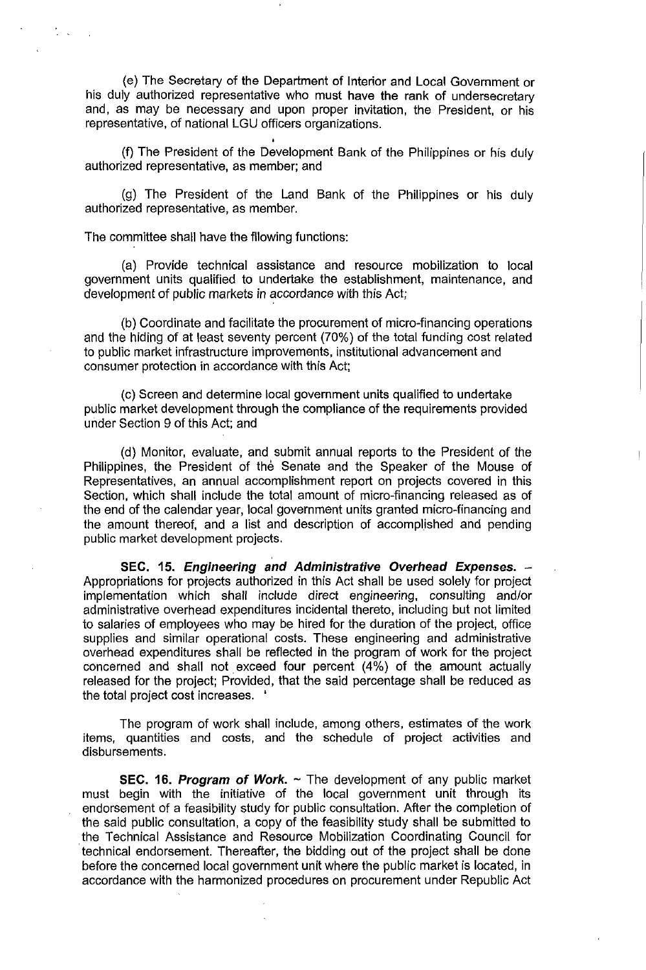(e) The Secretary of the Department of Interior and Local Government or his duly authorized representative who must have the rank of undersecretary and, as may be necessary and upon proper invitation, the President, or his representative, of national LGU officers organizations.

(f) The President of the Development Bank of the Philippines or his duly authorized representative, as member; and

(g) The President of the Land Bank of the Philippines or his duly authorized representative, as member.

The committee shall have the fIIowing functions:

(a) Provide technical assistance and resource mobilization to local government units qualified to undertake the establishment, maintenance, and development of public markets in accordance with this Act;

(b) Coordinate and facilitate the procurement of micro-financing operations and the hiding of at least seventy percent (70%) of the total funding cost related to public market infrastructure improvements, institutional advancement and consumer protection in accordance with this Act;

(c) Screen and determine local government units qualified to undertake public market development through the compliance of the requirements provided under Section 9 of this Act; and

(d) Monitor, evaluate, and submit annual reports to the President of the Philippines, the President of the Senate and the Speaker of the Mouse of Representatives, an annual accomplishment report on projects covered in this Section, which shall include the total amount of micro-financing released as of the end of the calendar year, local government units granted micro-financing and the amount thereof, and a list and description of accomplished and pending public market development projects.

**SEC. 15. Engineering and Administrative Overhead Expenses. --**Appropriations for projects authorized in this Act shall be used solely for project implementation which shall include direct engineering, consulting and/or administrative overhead expenditures incidental thereto, including but not limited to salaries of employees who may be hired for the duration of the project, office supplies and similar operational costs. These engineering and administrative overhead expenditures shall be reflected in the program of work for the project concerned and shall not exceed four percent (4%) of the amount actually released for the project; Provided, that the said percentage shall be reduced as the total project cost increases. •

The program of work shall include, among others, estimates of the work items, quantities and costs, and the schedule of project activities and disbursements.

**SEC. 16. Program of Work.** - The development of any public market must begin with the initiative of the local government unit through its endorsement of a feasibility study for public consultation. After the completion of the said public consultation, a copy of the feasibility study shall be submitted to the Technical Assistance and Resource Mobilization Coordinating Council for . technical endorsement. Thereafter, the bidding out of the project shall be done before the concerned local government unit where the public market is located, in accordance with the harmonized procedures on procurement under Republic Act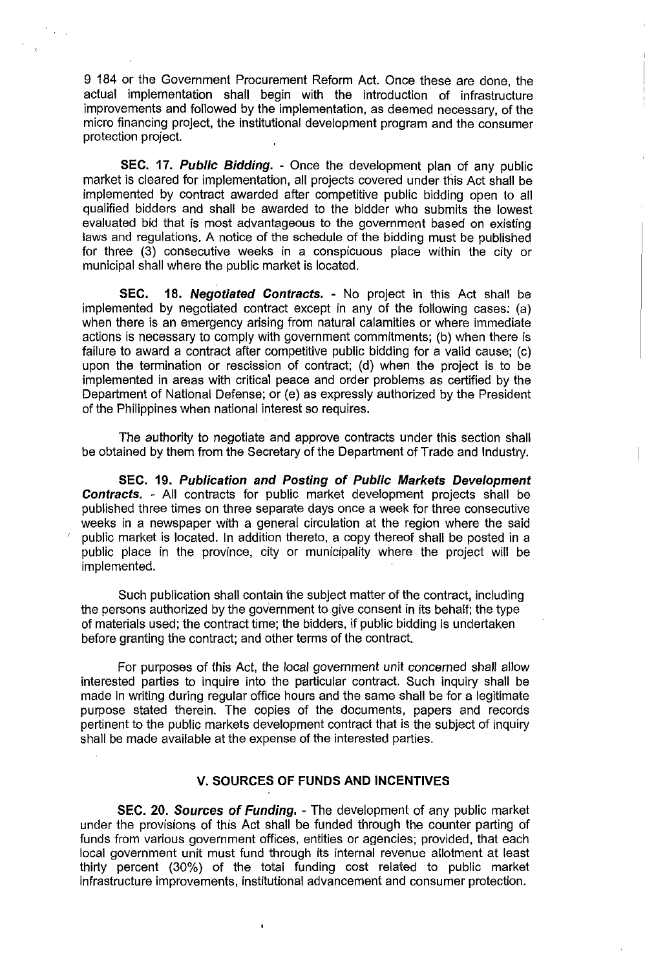9 184 or the Government Procurement Reform Act. Once these are done, the actual implementation shall begin with the introduction of infrastructure improvements and followed by the implementation, as deemed necessary, of the micro financing project, the institutional development program and the consumer protection project.

**SEC. 17. Public Bidding. -** Once the development plan of any public market is cleared for implementation, all projects covered under this Act shall be implemented by contract awarded after competitive public bidding open to all qualified bidders and shall be awarded to the bidder who submits the lowest evaluated bid that is most advantageous to the government based on existing laws and regulations. A notice of the schedule of the bidding must be published for three (3) consecutive weeks in a conspicuous place within the city or municipal shall where the public market is located.

**SEC. 18. Negotiated Contracts. -** No project in this Act shall be implemented by negotiated contract except in any of the following cases: (a) when there is an emergency arising from natural calamities or where immediate actions is necessary to comply with government commitments; (b) when there is failure to award a contract after competitive public bidding for a valid cause; (c) upon the termination or rescission of contract; (d) when the project is to be implemented in areas with critical peace and order problems as certified by the Department of National Defense; or (e) as expressly authorized by the President of the Philippines when national interest so requires.

The authority to negotiate and approve contracts under this section shall be obtained by them from the Secretary of the Department of Trade and Industry.

**SEC. 19. Publication and Posting of Public Markets Development Contracts. -** All contracts for public market development projects shall be published three times on three separate days once a week for three consecutive weeks in a newspaper with a general circulation at the region where the said public market is located. In addition thereto, a copy thereof shall be posted in a public place in the province, city or municipality where the project will be implemented.

Such publication shall contain the subject matter of the contract, including the persons authorized by the government to give consent in its behalf; the type of materials used; the contract time; the bidders, if public bidding is undertaken before granting the contract; and other terms of the contract.

For purposes of this Act, the local government unit concerned shall allow interested parties to inquire into the particular contract. Such inquiry shall be made in writing during regular office hours and the same shall be for a legitimate purpose stated therein. The copies of the documents, papers and records pertinent to the public markets development contract that is the subject of inquiry shall be made available at the expense of the interested parties.

## **V. SOURCES OF FUNDS AND INCENTIVES**

**SEC. 20. Sources of Funding. - The** development of any public market under the provisions of this Act shall be funded through the counter parting of funds from various government offices, entities or agencies; provided, that each local government unit must fund through its internal revenue allotment at least thirty percent (30%) of the total funding cost related to public market infrastructure improvements, institutional advancement and consumer protection.

 $\mathbf{I}$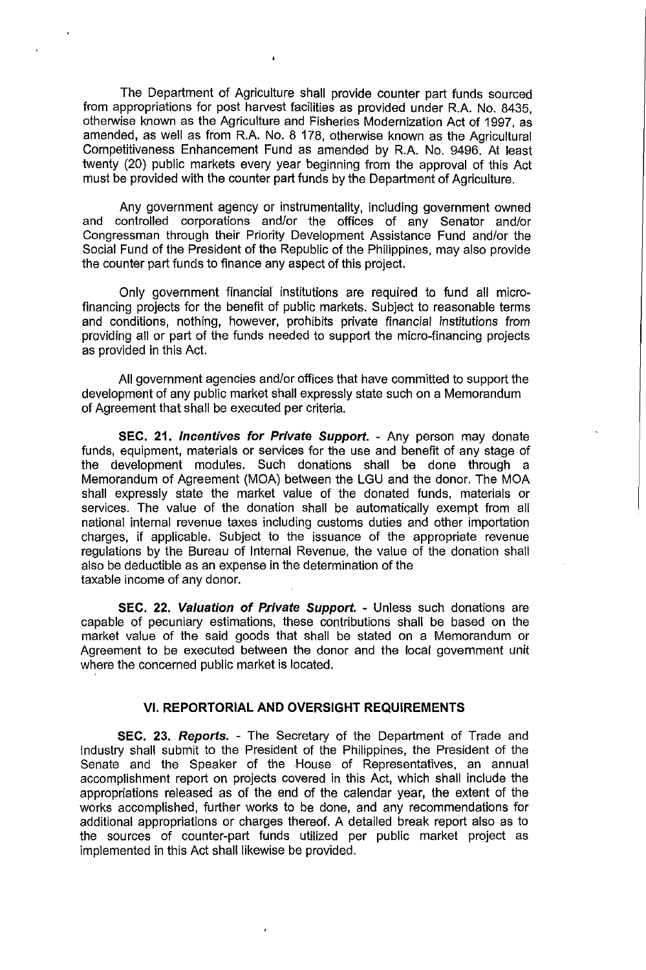The Department of Agriculture shall provide counter part funds sourced from appropriations for post harvest facilities as provided under R.A. No. 8435, otherwise known as the Agriculture and Fisheries Modernization Act of 1997, as amended, as well as from R.A. No. 8 178, otherwise known as the Agricultural Competitiveness Enhancement Fund as amended by R.A. No. 9496. At least twenty (20) public markets every year beginning from the approval of this Act must be provided with the counter part funds by the Department of Agriculture.

Any government agency or instrumentality, including government owned and controlled corporations and/or the offices of any Senator and/or Congressman through their Priority Development Assistance Fund and/or the Social Fund of the President of the Republic of the Philippines, may also provide the counter part funds to finance any aspect of this project.

Only government financial institUtions are required to fund all microfinancing projects for the benefit of public markets. Subject to reasonable terms and conditions, nothing, however, prohibits private financial institutions from providing all or part of the funds needed to support the micro-financing projects as provided in this Act.

All government agencies and/or offices that have committed to support the development of any public market shall expressly state such on a Memorandum of Agreement that shall be executed per criteria.

**SEC. 21. Incentives for Private Support.** - Any person may donate funds, equipment, materials or services for the use and benefit of any stage of the development modules. Such donations shall be done through a Memorandum of Agreement (MOA) between the LGU and the donor. The MOA shall expressly state the market value of the donated funds, materials or services. The value of the donation shall be automatically exempt from all national internal revenue taxes including customs duties and other importation charges, if applicable. Subject to the issuance of the appropriate revenue regulations by the Bureau of Internal Revenue, the value of the donation shall also be deductible as an expense in the determination of the taxable income of any donor.

**SEC. 22. Valuation of P.rivate Support.** - Unless such donations are capable of pecuniary estimations, these contributions shall be based on the market value of the said goods that shall be stated on a Memorandum or Agreement to be executed between the donor and the local government unit where the concerned public market is located.

## **VI. REPORTORIAL AND OVERSIGHT REQUIREMENTS**

**SEC. 23. Reports.** - The Secretary of the Department of Trade and Industry shall submit to the President of the Philippines, the President of the Senate and the Speaker of the House of Representatives, an annual accomplishment report on projects covered in this Act, which shall include the appropriations released as of the end of the calendar year, the extent of the works accomplished, further works to be done, and any recommendations for additional appropriations or charges thereof. A detailed break report also as to the sources of counter-part funds utilized per public market project as implemented in this Act shall likewise be provided.